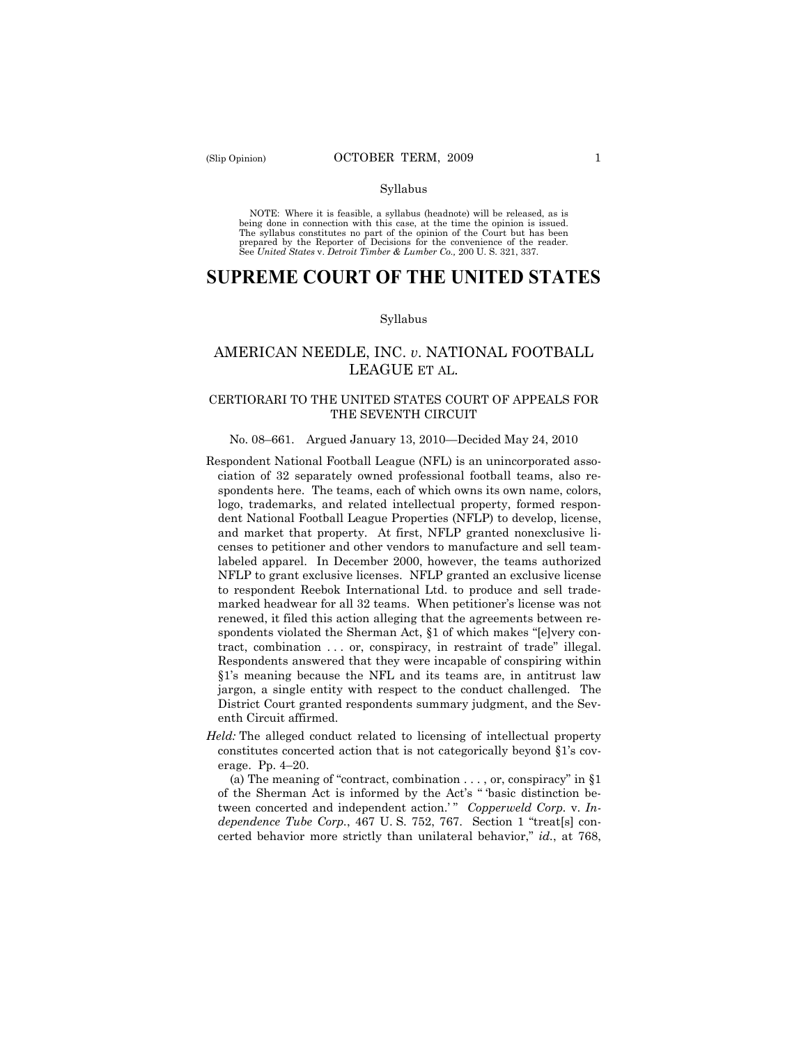#### Syllabus

NOTE: Where it is feasible, a syllabus (headnote) will be released, as is being done in connection with this case, at the time the opinion is issued. The syllabus constitutes no part of the opinion of the Court but has been<br>prepared by the Reporter of Decisions for the convenience of the reader.<br>See United States v. Detroit Timber & Lumber Co., 200 U. S. 321, 337.

# **SUPREME COURT OF THE UNITED STATES**

#### Syllabus

## AMERICAN NEEDLE, INC. *v*. NATIONAL FOOTBALL LEAGUE ET AL.

## CERTIORARI TO THE UNITED STATES COURT OF APPEALS FOR THE SEVENTH CIRCUIT

### No. 08–661. Argued January 13, 2010—Decided May 24, 2010

- Respondent National Football League (NFL) is an unincorporated association of 32 separately owned professional football teams, also respondents here. The teams, each of which owns its own name, colors, logo, trademarks, and related intellectual property, formed respondent National Football League Properties (NFLP) to develop, license, and market that property. At first, NFLP granted nonexclusive licenses to petitioner and other vendors to manufacture and sell teamlabeled apparel. In December 2000, however, the teams authorized NFLP to grant exclusive licenses. NFLP granted an exclusive license to respondent Reebok International Ltd. to produce and sell trademarked headwear for all 32 teams. When petitioner's license was not renewed, it filed this action alleging that the agreements between respondents violated the Sherman Act, §1 of which makes "[e]very contract, combination . . . or, conspiracy, in restraint of trade" illegal. Respondents answered that they were incapable of conspiring within §1's meaning because the NFL and its teams are, in antitrust law jargon, a single entity with respect to the conduct challenged. The District Court granted respondents summary judgment, and the Seventh Circuit affirmed.
- *Held:* The alleged conduct related to licensing of intellectual property constitutes concerted action that is not categorically beyond §1's coverage. Pp. 4–20.

(a) The meaning of "contract, combination  $\dots$ , or, conspiracy" in §1 of the Sherman Act is informed by the Act's " 'basic distinction between concerted and independent action.'" Copperweld Corp. v. In*dependence Tube Corp.*, 467 U. S. 752, 767. Section 1 "treat[s] concerted behavior more strictly than unilateral behavior," *id.*, at 768,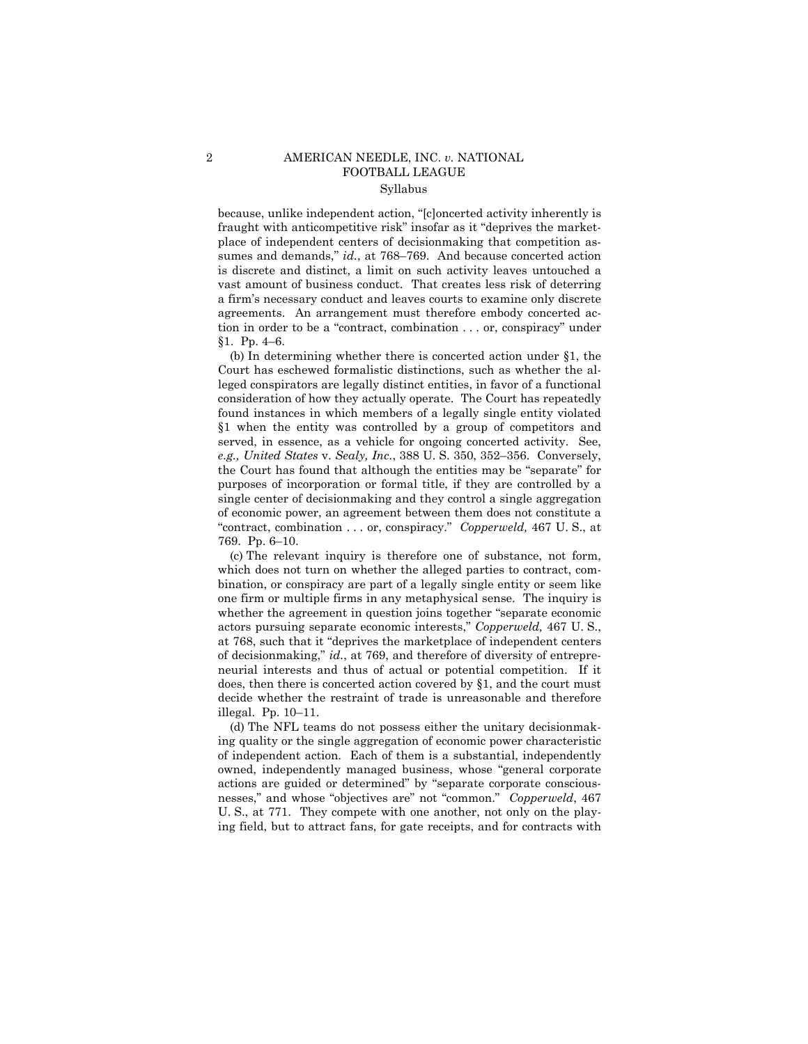## 2 AMERICAN NEEDLE, INC. *v.* NATIONAL FOOTBALL LEAGUE Syllabus

because, unlike independent action, "[c]oncerted activity inherently is fraught with anticompetitive risk" insofar as it "deprives the marketplace of independent centers of decisionmaking that competition assumes and demands," *id.*, at 768–769. And because concerted action is discrete and distinct, a limit on such activity leaves untouched a vast amount of business conduct. That creates less risk of deterring a firm's necessary conduct and leaves courts to examine only discrete agreements. An arrangement must therefore embody concerted action in order to be a "contract, combination . . . or, conspiracy" under §1. Pp. 4–6.

(b) In determining whether there is concerted action under §1, the Court has eschewed formalistic distinctions, such as whether the alleged conspirators are legally distinct entities, in favor of a functional consideration of how they actually operate. The Court has repeatedly found instances in which members of a legally single entity violated §1 when the entity was controlled by a group of competitors and served, in essence, as a vehicle for ongoing concerted activity. See, *e.g., United States* v. *Sealy, Inc.*, 388 U. S. 350, 352–356. Conversely, the Court has found that although the entities may be "separate" for purposes of incorporation or formal title, if they are controlled by a single center of decisionmaking and they control a single aggregation of economic power, an agreement between them does not constitute a "contract, combination . . . or, conspiracy." *Copperweld,* 467 U. S., at 769. Pp. 6–10.

(c) The relevant inquiry is therefore one of substance, not form, which does not turn on whether the alleged parties to contract, combination, or conspiracy are part of a legally single entity or seem like one firm or multiple firms in any metaphysical sense. The inquiry is whether the agreement in question joins together "separate economic actors pursuing separate economic interests," *Copperweld,* 467 U. S., at 768, such that it "deprives the marketplace of independent centers of decisionmaking," *id.*, at 769, and therefore of diversity of entrepreneurial interests and thus of actual or potential competition. If it does, then there is concerted action covered by §1, and the court must decide whether the restraint of trade is unreasonable and therefore illegal. Pp. 10–11.

(d) The NFL teams do not possess either the unitary decisionmaking quality or the single aggregation of economic power characteristic of independent action. Each of them is a substantial, independently owned, independently managed business, whose "general corporate actions are guided or determined" by "separate corporate consciousnesses," and whose "objectives are" not "common." *Copperweld*, 467 U. S., at 771. They compete with one another, not only on the playing field, but to attract fans, for gate receipts, and for contracts with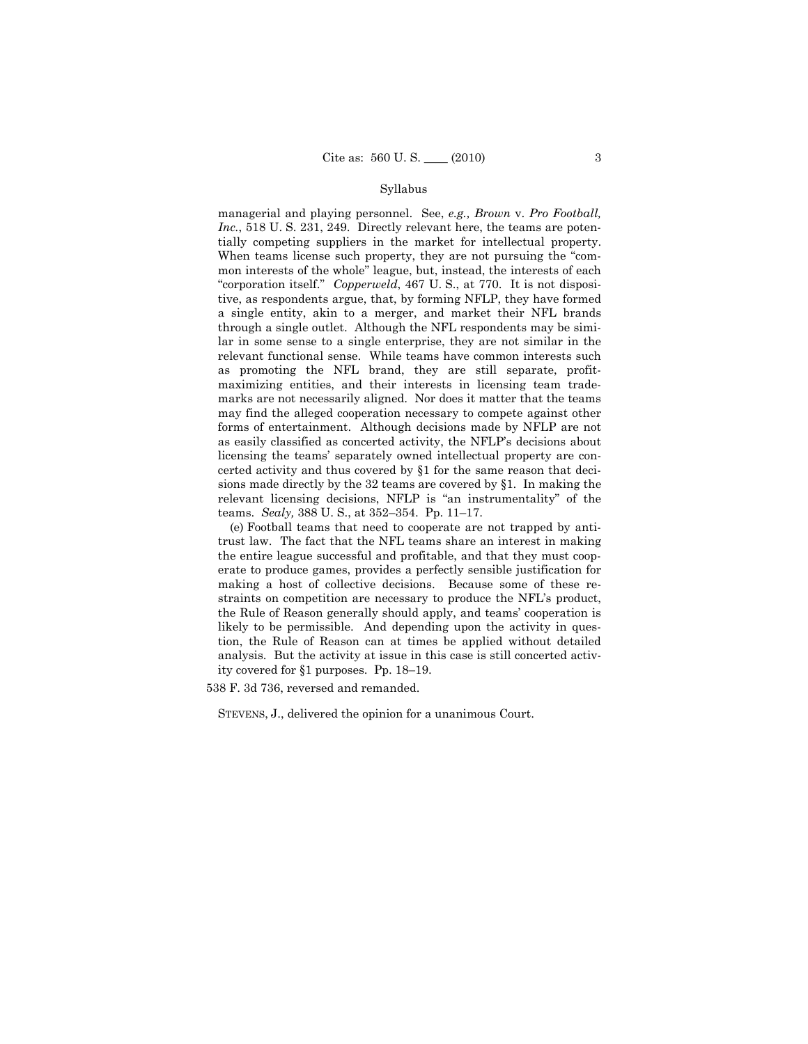#### Syllabus

managerial and playing personnel. See, *e.g., Brown* v. *Pro Football, Inc.*, 518 U. S. 231, 249. Directly relevant here, the teams are potentially competing suppliers in the market for intellectual property. When teams license such property, they are not pursuing the "common interests of the whole" league, but, instead, the interests of each "corporation itself." *Copperweld*, 467 U. S., at 770. It is not dispositive, as respondents argue, that, by forming NFLP, they have formed a single entity, akin to a merger, and market their NFL brands through a single outlet. Although the NFL respondents may be similar in some sense to a single enterprise, they are not similar in the relevant functional sense. While teams have common interests such as promoting the NFL brand, they are still separate, profitmaximizing entities, and their interests in licensing team trademarks are not necessarily aligned. Nor does it matter that the teams may find the alleged cooperation necessary to compete against other forms of entertainment. Although decisions made by NFLP are not as easily classified as concerted activity, the NFLP's decisions about licensing the teams' separately owned intellectual property are concerted activity and thus covered by §1 for the same reason that decisions made directly by the 32 teams are covered by §1. In making the relevant licensing decisions, NFLP is "an instrumentality" of the teams. *Sealy,* 388 U. S., at 352–354. Pp. 11–17.

(e) Football teams that need to cooperate are not trapped by antitrust law. The fact that the NFL teams share an interest in making the entire league successful and profitable, and that they must cooperate to produce games, provides a perfectly sensible justification for making a host of collective decisions. Because some of these restraints on competition are necessary to produce the NFL's product, the Rule of Reason generally should apply, and teams' cooperation is likely to be permissible. And depending upon the activity in question, the Rule of Reason can at times be applied without detailed analysis. But the activity at issue in this case is still concerted activity covered for §1 purposes. Pp. 18–19.

538 F. 3d 736, reversed and remanded.

STEVENS, J., delivered the opinion for a unanimous Court.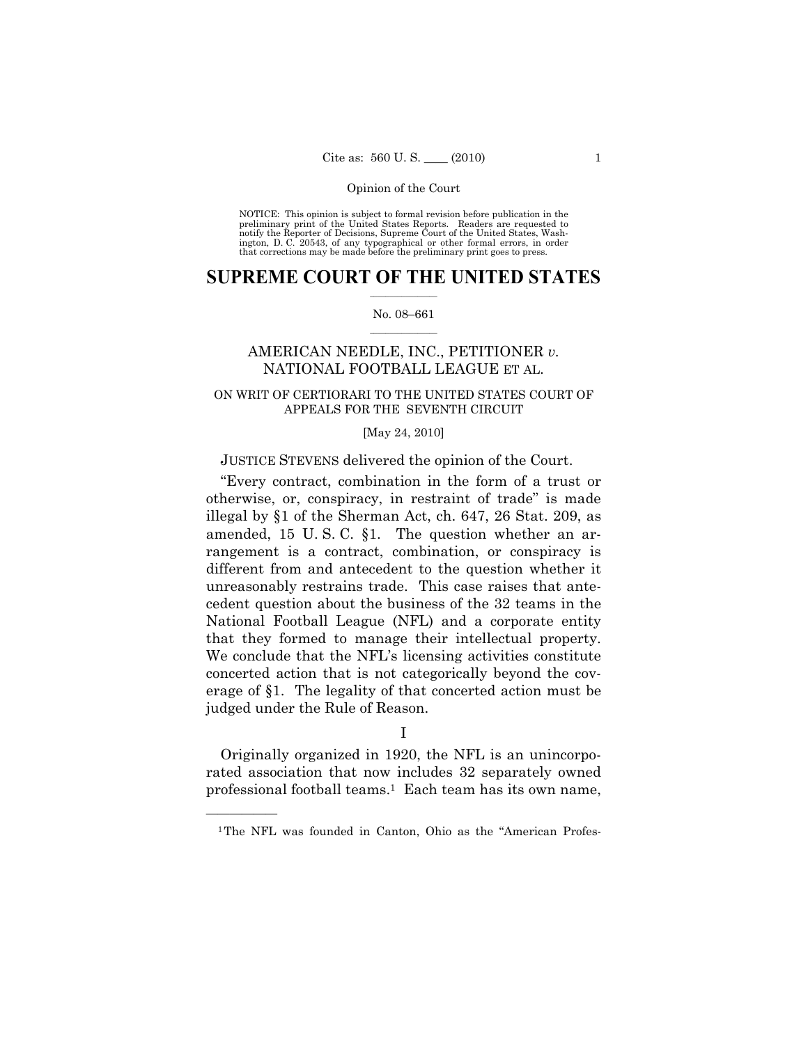NOTICE: This opinion is subject to formal revision before publication in the preliminary print of the United States Reports. Readers are requested to notify the Reporter of Decisions, Supreme Court of the United States, Washington, D. C. 20543, of any typographical or other formal errors, in order that corrections may be made before the preliminary print goes to press.

## $\frac{1}{2}$  ,  $\frac{1}{2}$  ,  $\frac{1}{2}$  ,  $\frac{1}{2}$  ,  $\frac{1}{2}$  ,  $\frac{1}{2}$  ,  $\frac{1}{2}$ **SUPREME COURT OF THE UNITED STATES**

#### $\frac{1}{2}$  ,  $\frac{1}{2}$  ,  $\frac{1}{2}$  ,  $\frac{1}{2}$  ,  $\frac{1}{2}$  ,  $\frac{1}{2}$ No. 08–661

## AMERICAN NEEDLE, INC., PETITIONER *v.* NATIONAL FOOTBALL LEAGUE ET AL.

## ON WRIT OF CERTIORARI TO THE UNITED STATES COURT OF APPEALS FOR THE SEVENTH CIRCUIT

### [May 24, 2010]

## JUSTICE STEVENS delivered the opinion of the Court.

"Every contract, combination in the form of a trust or otherwise, or, conspiracy, in restraint of trade" is made illegal by §1 of the Sherman Act, ch. 647, 26 Stat. 209, as amended, 15 U. S. C. §1. The question whether an arrangement is a contract, combination, or conspiracy is different from and antecedent to the question whether it unreasonably restrains trade. This case raises that antecedent question about the business of the 32 teams in the National Football League (NFL) and a corporate entity that they formed to manage their intellectual property. We conclude that the NFL's licensing activities constitute concerted action that is not categorically beyond the coverage of §1. The legality of that concerted action must be judged under the Rule of Reason.

I

Originally organized in 1920, the NFL is an unincorporated association that now includes 32 separately owned professional football teams.1 Each team has its own name,

<sup>&</sup>lt;sup>1</sup>The NFL was founded in Canton, Ohio as the "American Profes-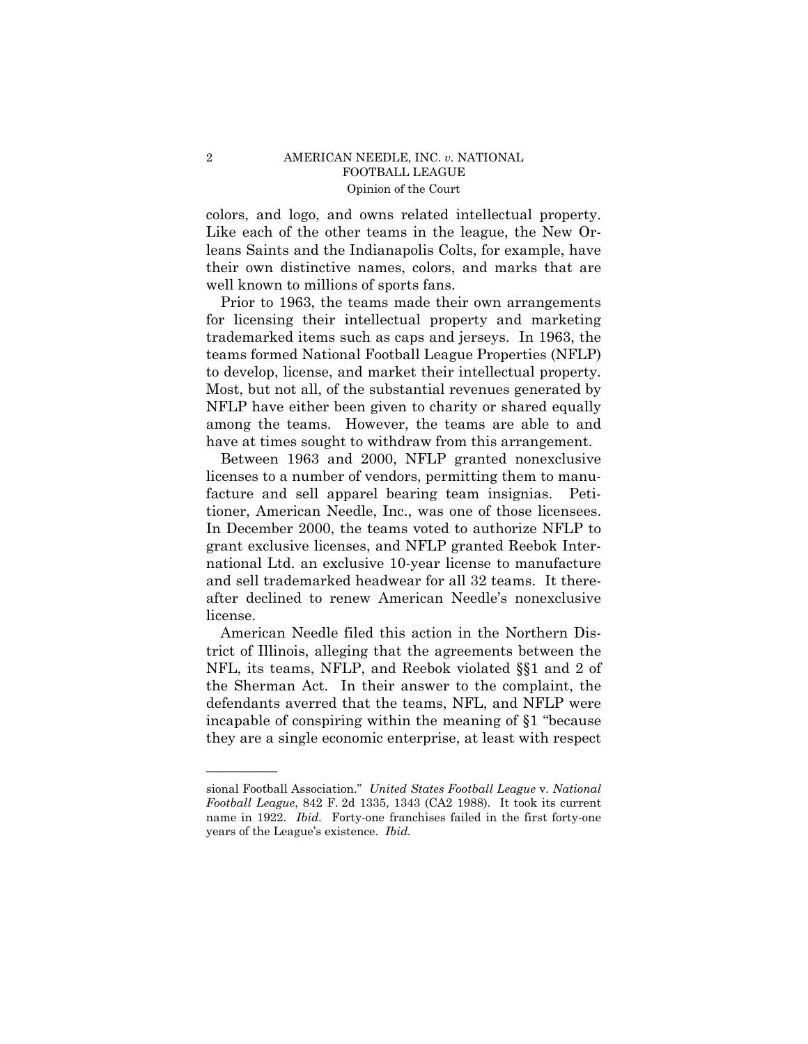colors, and logo, and owns related intellectual property. Like each of the other teams in the league, the New Orleans Saints and the Indianapolis Colts, for example, have their own distinctive names, colors, and marks that are well known to millions of sports fans.

Prior to 1963, the teams made their own arrangements for licensing their intellectual property and marketing trademarked items such as caps and jerseys. In 1963, the teams formed National Football League Properties (NFLP) to develop, license, and market their intellectual property. Most, but not all, of the substantial revenues generated by NFLP have either been given to charity or shared equally among the teams. However, the teams are able to and have at times sought to withdraw from this arrangement.

Between 1963 and 2000, NFLP granted nonexclusive licenses to a number of vendors, permitting them to manufacture and sell apparel bearing team insignias. Petitioner, American Needle, Inc., was one of those licensees. In December 2000, the teams voted to authorize NFLP to grant exclusive licenses, and NFLP granted Reebok International Ltd. an exclusive 10-year license to manufacture and sell trademarked headwear for all 32 teams. It thereafter declined to renew American Needle's nonexclusive license.

American Needle filed this action in the Northern District of Illinois, alleging that the agreements between the NFL, its teams, NFLP, and Reebok violated §§1 and 2 of the Sherman Act. In their answer to the complaint, the defendants averred that the teams, NFL, and NFLP were incapable of conspiring within the meaning of §1 "because they are a single economic enterprise, at least with respect

sional Football Association." *United States Football League* v. *National Football League*, 842 F. 2d 1335, 1343 (CA2 1988). It took its current name in 1922. *Ibid.* Forty-one franchises failed in the first forty-one years of the League's existence. *Ibid.*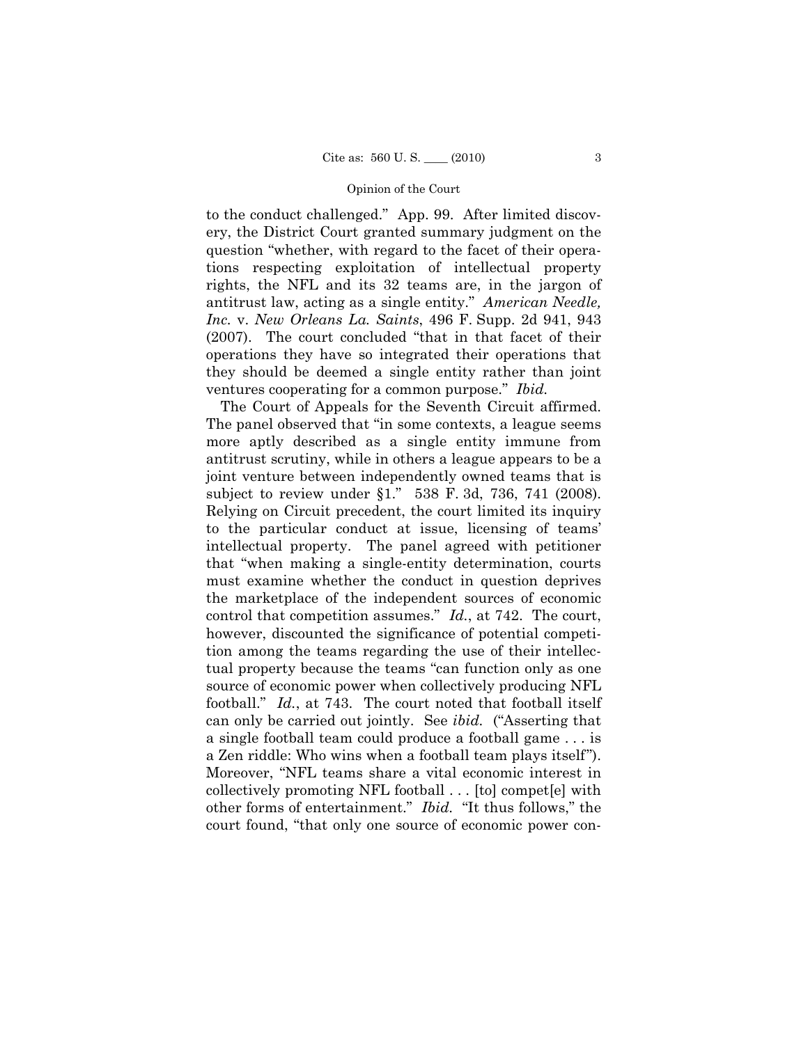to the conduct challenged." App. 99. After limited discovery, the District Court granted summary judgment on the question "whether, with regard to the facet of their operations respecting exploitation of intellectual property rights, the NFL and its 32 teams are, in the jargon of antitrust law, acting as a single entity." *American Needle, Inc.* v. *New Orleans La. Saints*, 496 F. Supp. 2d 941, 943 (2007). The court concluded "that in that facet of their operations they have so integrated their operations that they should be deemed a single entity rather than joint ventures cooperating for a common purpose." *Ibid.* 

The Court of Appeals for the Seventh Circuit affirmed. The panel observed that "in some contexts, a league seems more aptly described as a single entity immune from antitrust scrutiny, while in others a league appears to be a joint venture between independently owned teams that is subject to review under §1." 538 F. 3d, 736, 741 (2008). Relying on Circuit precedent, the court limited its inquiry to the particular conduct at issue, licensing of teams' intellectual property. The panel agreed with petitioner that "when making a single-entity determination, courts must examine whether the conduct in question deprives the marketplace of the independent sources of economic control that competition assumes." *Id.*, at 742. The court, however, discounted the significance of potential competition among the teams regarding the use of their intellectual property because the teams "can function only as one source of economic power when collectively producing NFL football." *Id.*, at 743. The court noted that football itself can only be carried out jointly. See *ibid.* ("Asserting that a single football team could produce a football game . . . is a Zen riddle: Who wins when a football team plays itself"). Moreover, "NFL teams share a vital economic interest in collectively promoting NFL football . . . [to] compet[e] with other forms of entertainment." *Ibid.* "It thus follows," the court found, "that only one source of economic power con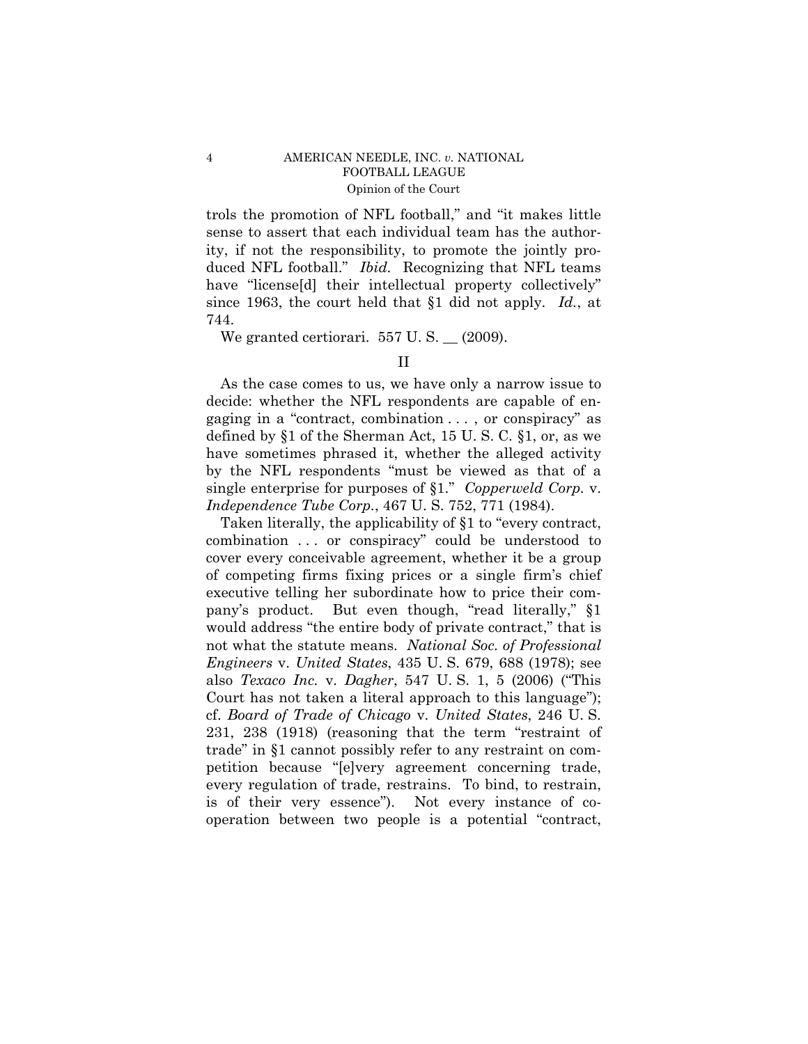trols the promotion of NFL football," and "it makes little sense to assert that each individual team has the authority, if not the responsibility, to promote the jointly produced NFL football." *Ibid.* Recognizing that NFL teams have "license<sup>[d]</sup> their intellectual property collectively" since 1963, the court held that §1 did not apply. *Id.*, at 744.

We granted certiorari.  $557 \text{ U.S.}$   $\_$  (2009).

As the case comes to us, we have only a narrow issue to decide: whether the NFL respondents are capable of engaging in a "contract, combination . . . , or conspiracy" as defined by §1 of the Sherman Act, 15 U. S. C. §1, or, as we have sometimes phrased it, whether the alleged activity by the NFL respondents "must be viewed as that of a single enterprise for purposes of §1." *Copperweld Corp.* v. *Independence Tube Corp.*, 467 U. S. 752, 771 (1984).

Taken literally, the applicability of §1 to "every contract, combination . . . or conspiracy" could be understood to cover every conceivable agreement, whether it be a group of competing firms fixing prices or a single firm's chief executive telling her subordinate how to price their company's product. But even though, "read literally," §1 would address "the entire body of private contract," that is not what the statute means. *National Soc. of Professional Engineers* v. *United States*, 435 U. S. 679, 688 (1978); see also *Texaco Inc.* v. *Dagher*, 547 U. S. 1, 5 (2006) ("This Court has not taken a literal approach to this language"); cf. *Board of Trade of Chicago* v. *United States*, 246 U. S. 231, 238 (1918) (reasoning that the term "restraint of trade" in §1 cannot possibly refer to any restraint on competition because "[e]very agreement concerning trade, every regulation of trade, restrains. To bind, to restrain, is of their very essence"). Not every instance of cooperation between two people is a potential "contract,

II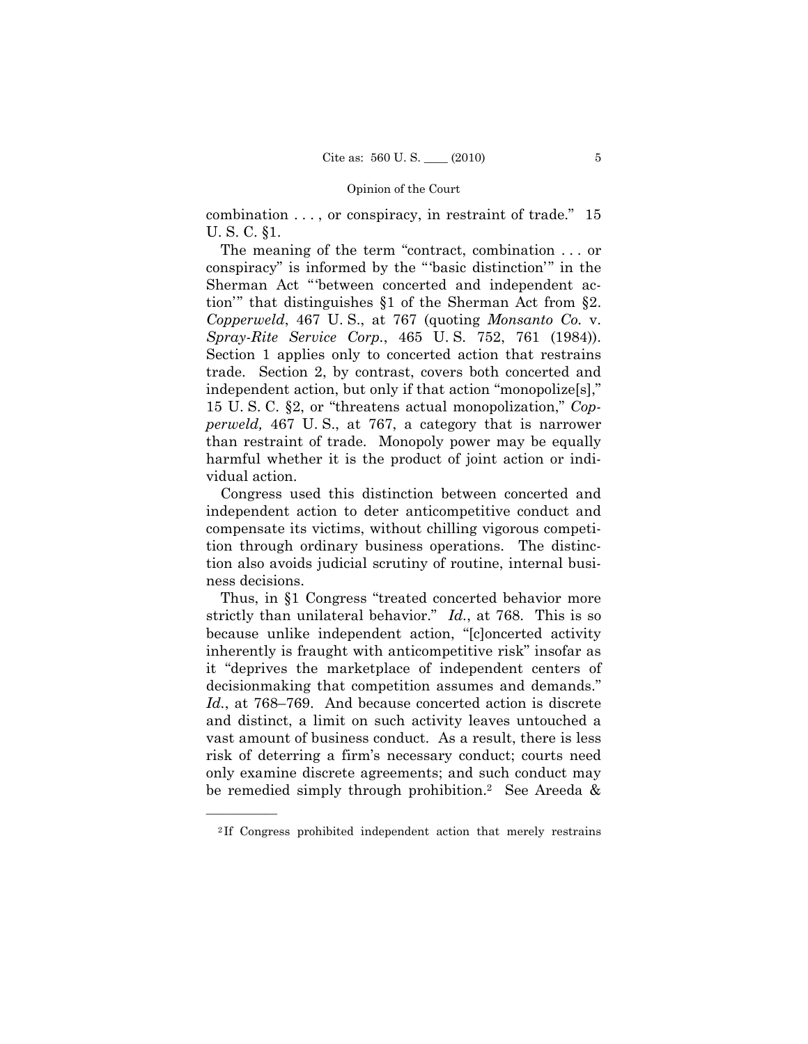combination . . . , or conspiracy, in restraint of trade." 15 U. S. C. §1.

The meaning of the term "contract, combination . . . or conspiracy" is informed by the "'basic distinction'" in the Sherman Act "'between concerted and independent action'" that distinguishes §1 of the Sherman Act from §2. *Copperweld*, 467 U. S., at 767 (quoting *Monsanto Co.* v. *Spray-Rite Service Corp.*, 465 U. S. 752, 761 (1984)). Section 1 applies only to concerted action that restrains trade. Section 2, by contrast, covers both concerted and independent action, but only if that action "monopolize[s]," 15 U. S. C. §2, or "threatens actual monopolization," *Copperweld,* 467 U. S., at 767, a category that is narrower than restraint of trade. Monopoly power may be equally harmful whether it is the product of joint action or individual action.

Congress used this distinction between concerted and independent action to deter anticompetitive conduct and compensate its victims, without chilling vigorous competition through ordinary business operations. The distinction also avoids judicial scrutiny of routine, internal business decisions.

Thus, in §1 Congress "treated concerted behavior more strictly than unilateral behavior." *Id.*, at 768. This is so because unlike independent action, "[c]oncerted activity inherently is fraught with anticompetitive risk" insofar as it "deprives the marketplace of independent centers of decisionmaking that competition assumes and demands." *Id.*, at 768–769. And because concerted action is discrete and distinct, a limit on such activity leaves untouched a vast amount of business conduct. As a result, there is less risk of deterring a firm's necessary conduct; courts need only examine discrete agreements; and such conduct may be remedied simply through prohibition.<sup>2</sup> See Areeda &

<sup>2</sup> If Congress prohibited independent action that merely restrains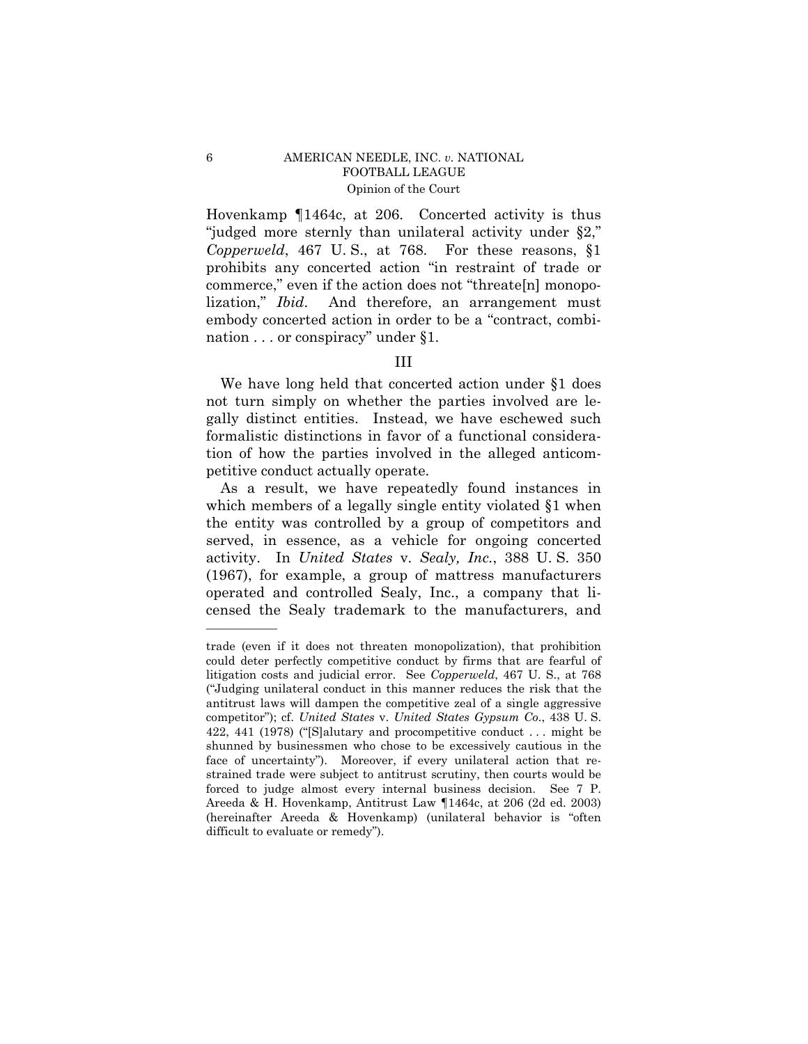Hovenkamp ¶1464c, at 206. Concerted activity is thus "judged more sternly than unilateral activity under §2," *Copperweld*, 467 U. S., at 768. For these reasons, §1 prohibits any concerted action "in restraint of trade or commerce," even if the action does not "threate[n] monopolization," *Ibid*. And therefore, an arrangement must embody concerted action in order to be a "contract, combination . . . or conspiracy" under §1.

## III

We have long held that concerted action under §1 does not turn simply on whether the parties involved are legally distinct entities. Instead, we have eschewed such formalistic distinctions in favor of a functional consideration of how the parties involved in the alleged anticompetitive conduct actually operate.

As a result, we have repeatedly found instances in which members of a legally single entity violated  $\S1$  when the entity was controlled by a group of competitors and served, in essence, as a vehicle for ongoing concerted activity. In *United States* v. *Sealy, Inc.*, 388 U. S. 350 (1967), for example, a group of mattress manufacturers operated and controlled Sealy, Inc., a company that licensed the Sealy trademark to the manufacturers, and

trade (even if it does not threaten monopolization), that prohibition could deter perfectly competitive conduct by firms that are fearful of litigation costs and judicial error. See *Copperweld*, 467 U. S., at 768 ("Judging unilateral conduct in this manner reduces the risk that the antitrust laws will dampen the competitive zeal of a single aggressive competitor"); cf. *United States* v. *United States Gypsum Co.*, 438 U. S. 422, 441 (1978) ("[S]alutary and procompetitive conduct . . . might be shunned by businessmen who chose to be excessively cautious in the face of uncertainty"). Moreover, if every unilateral action that restrained trade were subject to antitrust scrutiny, then courts would be forced to judge almost every internal business decision. See 7 P. Areeda & H. Hovenkamp, Antitrust Law ¶1464c, at 206 (2d ed. 2003) (hereinafter Areeda & Hovenkamp) (unilateral behavior is "often difficult to evaluate or remedy").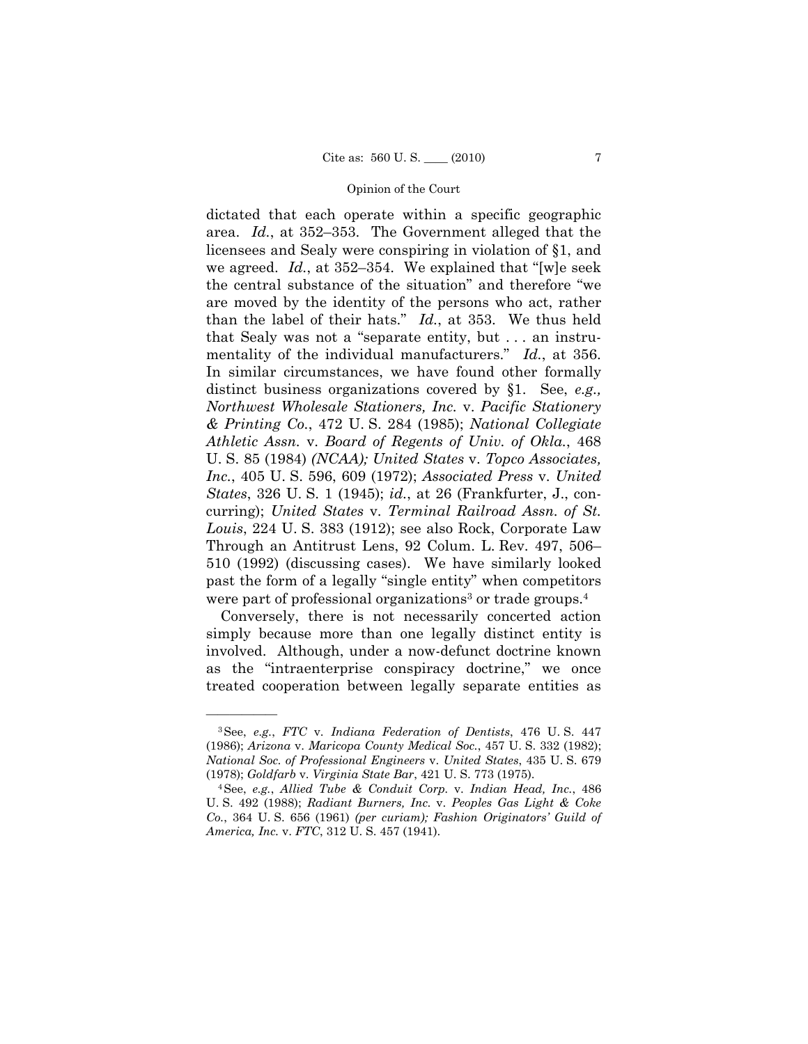dictated that each operate within a specific geographic area. *Id.*, at 352–353. The Government alleged that the licensees and Sealy were conspiring in violation of §1, and we agreed. *Id.*, at 352–354. We explained that "[w]e seek the central substance of the situation" and therefore "we are moved by the identity of the persons who act, rather than the label of their hats." *Id.*, at 353. We thus held that Sealy was not a "separate entity, but . . . an instrumentality of the individual manufacturers." *Id.*, at 356. In similar circumstances, we have found other formally distinct business organizations covered by §1. See, *e.g., Northwest Wholesale Stationers, Inc.* v. *Pacific Stationery & Printing Co.*, 472 U. S. 284 (1985); *National Collegiate Athletic Assn.* v. *Board of Regents of Univ. of Okla.*, 468 U. S. 85 (1984) *(NCAA); United States* v. *Topco Associates, Inc.*, 405 U. S. 596, 609 (1972); *Associated Press* v. *United States*, 326 U. S. 1 (1945); *id.*, at 26 (Frankfurter, J., concurring); *United States* v. *Terminal Railroad Assn. of St. Louis*, 224 U. S. 383 (1912); see also Rock, Corporate Law Through an Antitrust Lens, 92 Colum. L. Rev. 497, 506– 510 (1992) (discussing cases). We have similarly looked past the form of a legally "single entity" when competitors were part of professional organizations<sup>3</sup> or trade groups.<sup>4</sup>

Conversely, there is not necessarily concerted action simply because more than one legally distinct entity is involved. Although, under a now-defunct doctrine known as the "intraenterprise conspiracy doctrine," we once treated cooperation between legally separate entities as

<sup>3</sup>See, *e.g.*, *FTC* v. *Indiana Federation of Dentists*, 476 U. S. 447 (1986); *Arizona* v. *Maricopa County Medical Soc.*, 457 U. S. 332 (1982); *National Soc. of Professional Engineers* v. *United States*, 435 U. S. 679 (1978); *Goldfarb* v. *Virginia State Bar*, 421 U. S. 773 (1975). 4See, *e.g.*, *Allied Tube & Conduit Corp.* v. *Indian Head, Inc.*, 486

U. S. 492 (1988); *Radiant Burners, Inc.* v. *Peoples Gas Light & Coke Co.*, 364 U. S. 656 (1961) *(per curiam); Fashion Originators' Guild of America, Inc.* v. *FTC*, 312 U. S. 457 (1941).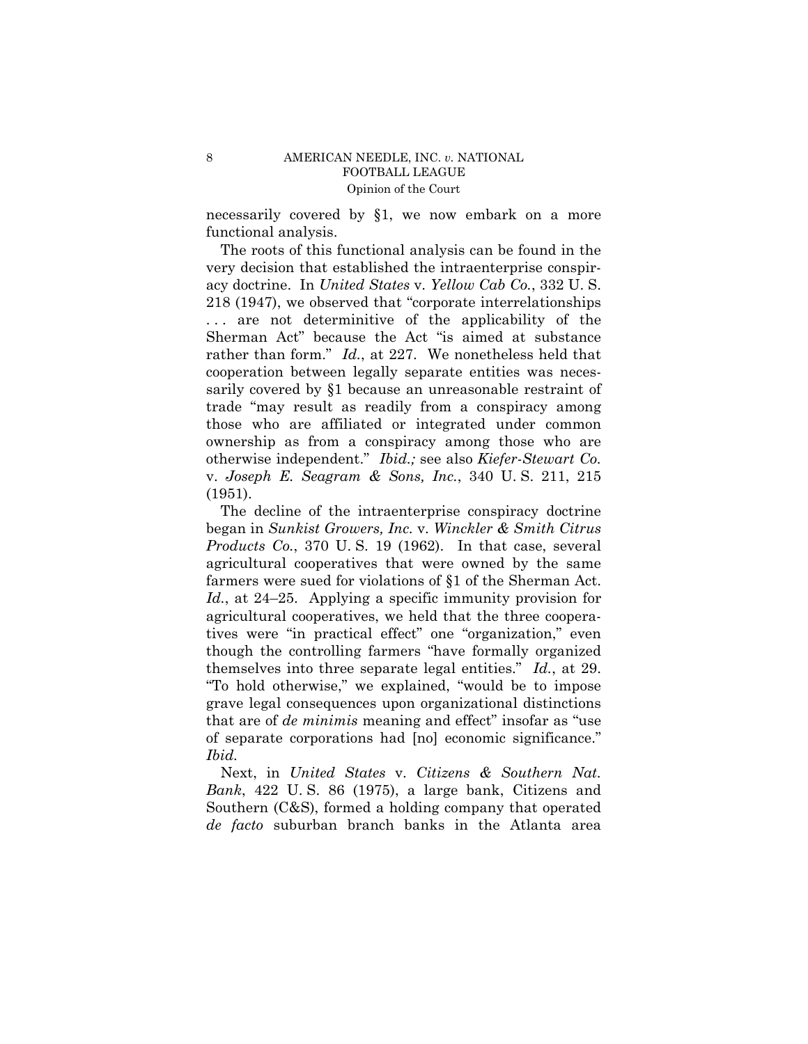necessarily covered by §1, we now embark on a more functional analysis.

The roots of this functional analysis can be found in the very decision that established the intraenterprise conspiracy doctrine. In *United States* v. *Yellow Cab Co.*, 332 U. S. 218 (1947), we observed that "corporate interrelationships ... are not determinitive of the applicability of the Sherman Act" because the Act "is aimed at substance rather than form." *Id.*, at 227. We nonetheless held that cooperation between legally separate entities was necessarily covered by §1 because an unreasonable restraint of trade "may result as readily from a conspiracy among those who are affiliated or integrated under common ownership as from a conspiracy among those who are otherwise independent." *Ibid.;* see also *Kiefer-Stewart Co.*  v. *Joseph E. Seagram & Sons, Inc.*, 340 U. S. 211, 215 (1951).

The decline of the intraenterprise conspiracy doctrine began in *Sunkist Growers, Inc.* v. *Winckler & Smith Citrus Products Co.*, 370 U. S. 19 (1962). In that case, several agricultural cooperatives that were owned by the same farmers were sued for violations of §1 of the Sherman Act. *Id.*, at 24–25. Applying a specific immunity provision for agricultural cooperatives, we held that the three cooperatives were "in practical effect" one "organization," even though the controlling farmers "have formally organized themselves into three separate legal entities." *Id.*, at 29. "To hold otherwise," we explained, "would be to impose grave legal consequences upon organizational distinctions that are of *de minimis* meaning and effect" insofar as "use of separate corporations had [no] economic significance." *Ibid.*

 Next, in *United States* v. *Citizens & Southern Nat. Bank*, 422 U. S. 86 (1975), a large bank, Citizens and Southern (C&S), formed a holding company that operated *de facto* suburban branch banks in the Atlanta area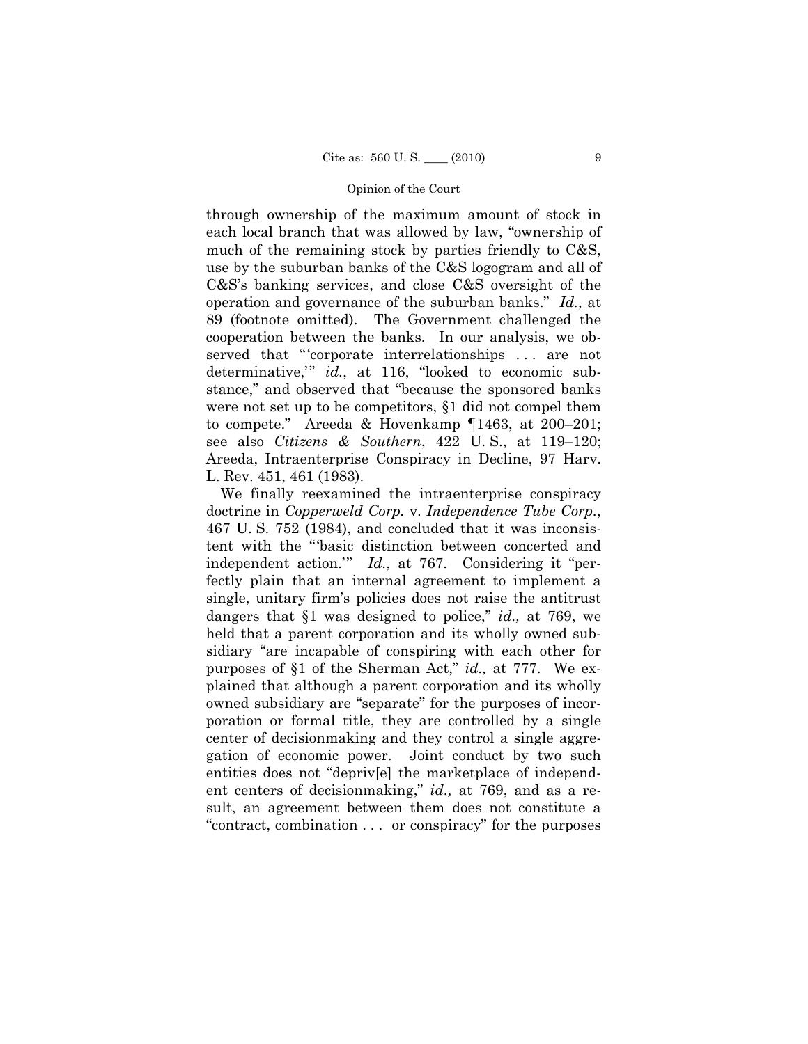through ownership of the maximum amount of stock in each local branch that was allowed by law, "ownership of much of the remaining stock by parties friendly to C&S, use by the suburban banks of the C&S logogram and all of C&S's banking services, and close C&S oversight of the operation and governance of the suburban banks." *Id.*, at 89 (footnote omitted). The Government challenged the cooperation between the banks. In our analysis, we observed that "'corporate interrelationships . . . are not determinative,'" *id.*, at 116, "looked to economic substance," and observed that "because the sponsored banks were not set up to be competitors, §1 did not compel them to compete." Areeda & Hovenkamp ¶1463, at 200–201; see also *Citizens & Southern*, 422 U. S., at 119–120; Areeda, Intraenterprise Conspiracy in Decline, 97 Harv. L. Rev. 451, 461 (1983).

We finally reexamined the intraenterprise conspiracy doctrine in *Copperweld Corp.* v. *Independence Tube Corp.*, 467 U. S. 752 (1984), and concluded that it was inconsistent with the "'basic distinction between concerted and independent action.'" *Id.*, at 767. Considering it "perfectly plain that an internal agreement to implement a single, unitary firm's policies does not raise the antitrust dangers that §1 was designed to police," *id.,* at 769, we held that a parent corporation and its wholly owned subsidiary "are incapable of conspiring with each other for purposes of §1 of the Sherman Act," *id.,* at 777. We explained that although a parent corporation and its wholly owned subsidiary are "separate" for the purposes of incorporation or formal title, they are controlled by a single center of decisionmaking and they control a single aggregation of economic power. Joint conduct by two such entities does not "depriv[e] the marketplace of independent centers of decisionmaking," *id.,* at 769, and as a result, an agreement between them does not constitute a "contract, combination . . . or conspiracy" for the purposes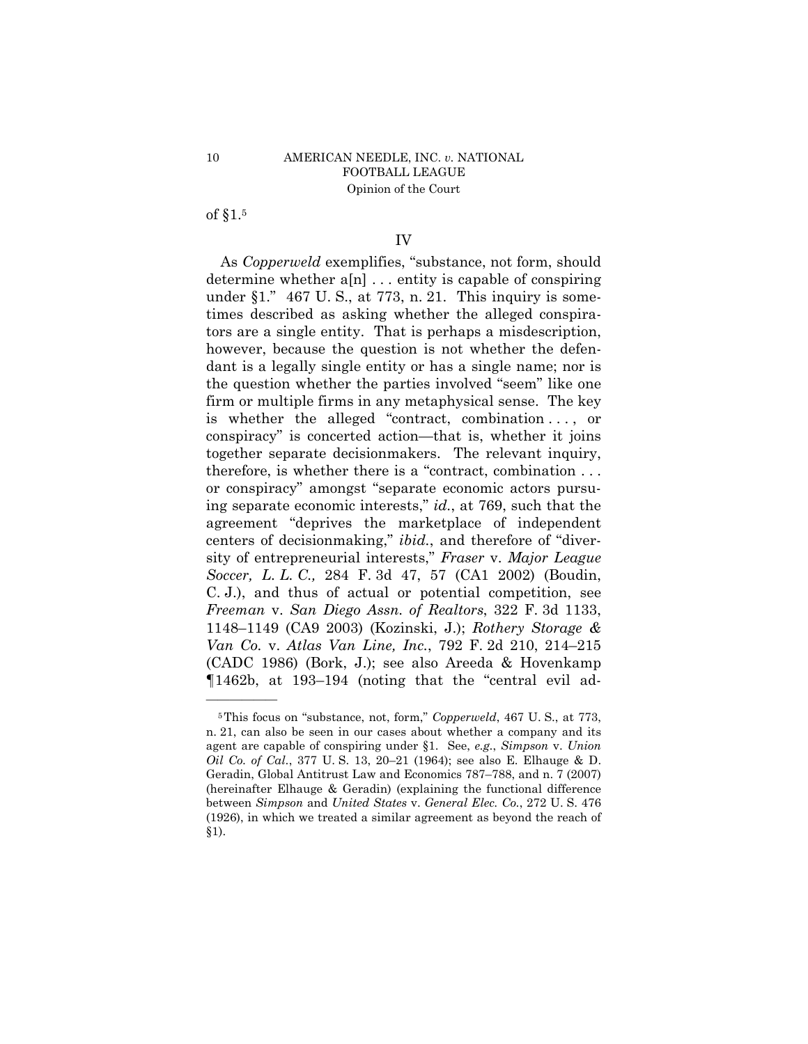of §1.5

——————

## IV

As *Copperweld* exemplifies, "substance, not form, should determine whether a[n] . . . entity is capable of conspiring under  $\S1$ ." 467 U.S., at 773, n. 21. This inquiry is sometimes described as asking whether the alleged conspirators are a single entity. That is perhaps a misdescription, however, because the question is not whether the defendant is a legally single entity or has a single name; nor is the question whether the parties involved "seem" like one firm or multiple firms in any metaphysical sense. The key is whether the alleged "contract, combination . . . , or conspiracy" is concerted action—that is, whether it joins together separate decisionmakers. The relevant inquiry, therefore, is whether there is a "contract, combination . . . or conspiracy" amongst "separate economic actors pursuing separate economic interests," *id.*, at 769, such that the agreement "deprives the marketplace of independent centers of decisionmaking," *ibid.*, and therefore of "diversity of entrepreneurial interests," *Fraser* v. *Major League Soccer, L. L. C.,* 284 F. 3d 47, 57 (CA1 2002) (Boudin, C. J.), and thus of actual or potential competition, see *Freeman* v. *San Diego Assn. of Realtors*, 322 F. 3d 1133, 1148–1149 (CA9 2003) (Kozinski, J.); *Rothery Storage & Van Co.* v. *Atlas Van Line, Inc.*, 792 F. 2d 210, 214–215 (CADC 1986) (Bork, J.); see also Areeda & Hovenkamp ¶1462b, at 193–194 (noting that the "central evil ad

<sup>5</sup>This focus on "substance, not, form," *Copperweld*, 467 U. S., at 773, n. 21, can also be seen in our cases about whether a company and its agent are capable of conspiring under §1. See, *e.g.*, *Simpson* v. *Union Oil Co. of Cal.*, 377 U. S. 13, 20–21 (1964); see also E. Elhauge & D. Geradin, Global Antitrust Law and Economics 787–788, and n. 7 (2007) (hereinafter Elhauge & Geradin) (explaining the functional difference between *Simpson* and *United States* v. *General Elec. Co.*, 272 U. S. 476 (1926), in which we treated a similar agreement as beyond the reach of §1).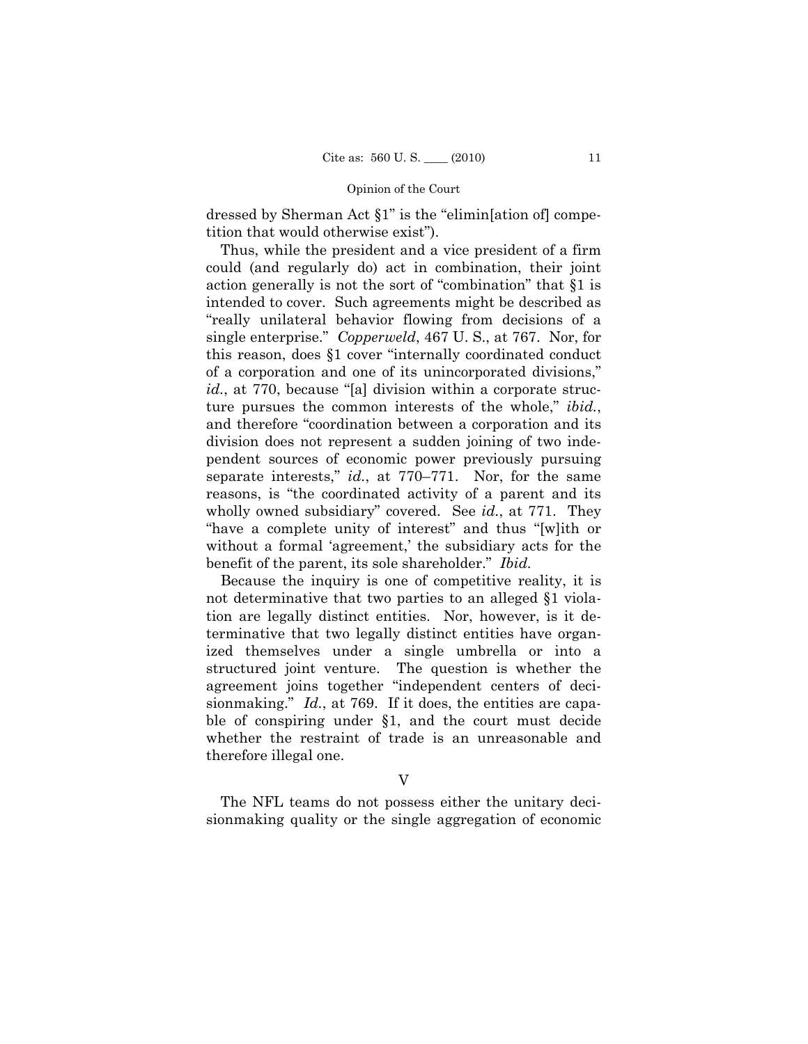dressed by Sherman Act §1" is the "elimin[ation of] competition that would otherwise exist").

Thus, while the president and a vice president of a firm could (and regularly do) act in combination, their joint action generally is not the sort of "combination" that §1 is intended to cover. Such agreements might be described as "really unilateral behavior flowing from decisions of a single enterprise." *Copperweld*, 467 U. S., at 767. Nor, for this reason, does §1 cover "internally coordinated conduct of a corporation and one of its unincorporated divisions," *id.*, at 770, because "[a] division within a corporate structure pursues the common interests of the whole," *ibid.*, and therefore "coordination between a corporation and its division does not represent a sudden joining of two independent sources of economic power previously pursuing separate interests," *id.*, at 770–771. Nor, for the same reasons, is "the coordinated activity of a parent and its wholly owned subsidiary" covered. See *id.*, at 771. They "have a complete unity of interest" and thus "[w]ith or without a formal 'agreement,' the subsidiary acts for the benefit of the parent, its sole shareholder." *Ibid.* 

Because the inquiry is one of competitive reality, it is not determinative that two parties to an alleged §1 violation are legally distinct entities. Nor, however, is it determinative that two legally distinct entities have organized themselves under a single umbrella or into a structured joint venture. The question is whether the agreement joins together "independent centers of decisionmaking." *Id.*, at 769. If it does, the entities are capable of conspiring under §1, and the court must decide whether the restraint of trade is an unreasonable and therefore illegal one.

V

The NFL teams do not possess either the unitary decisionmaking quality or the single aggregation of economic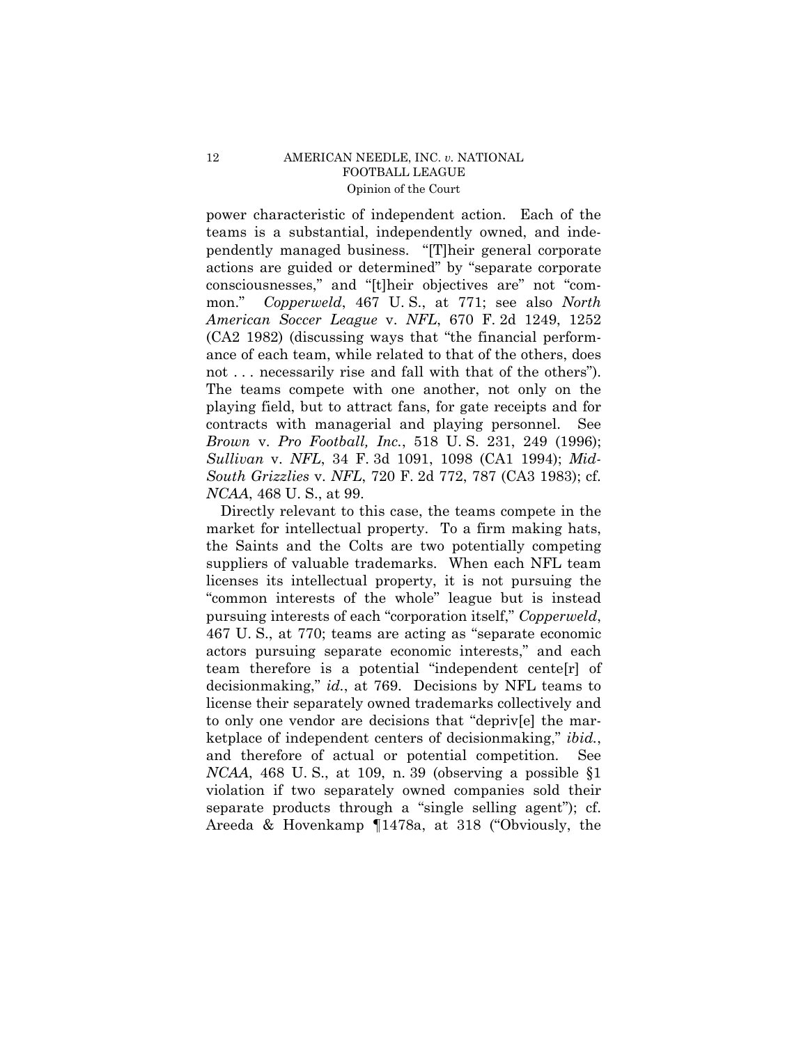power characteristic of independent action. Each of the teams is a substantial, independently owned, and independently managed business. "[T]heir general corporate actions are guided or determined" by "separate corporate consciousnesses," and "[t]heir objectives are" not "common." *Copperweld*, 467 U. S., at 771; see also *North American Soccer League* v. *NFL*, 670 F. 2d 1249, 1252 (CA2 1982) (discussing ways that "the financial performance of each team, while related to that of the others, does not ... necessarily rise and fall with that of the others". The teams compete with one another, not only on the playing field, but to attract fans, for gate receipts and for contracts with managerial and playing personnel. See *Brown* v. *Pro Football, Inc.*, 518 U. S. 231, 249 (1996); *Sullivan* v. *NFL*, 34 F. 3d 1091, 1098 (CA1 1994); *Mid-South Grizzlies* v. *NFL*, 720 F. 2d 772, 787 (CA3 1983); cf. *NCAA*, 468 U. S., at 99.

Directly relevant to this case, the teams compete in the market for intellectual property. To a firm making hats, the Saints and the Colts are two potentially competing suppliers of valuable trademarks. When each NFL team licenses its intellectual property, it is not pursuing the "common interests of the whole" league but is instead pursuing interests of each "corporation itself," *Copperweld*, 467 U. S., at 770; teams are acting as "separate economic actors pursuing separate economic interests," and each team therefore is a potential "independent cente[r] of decisionmaking," *id.*, at 769. Decisions by NFL teams to license their separately owned trademarks collectively and to only one vendor are decisions that "depriv[e] the marketplace of independent centers of decisionmaking," *ibid.*, and therefore of actual or potential competition. See *NCAA*, 468 U. S., at 109, n. 39 (observing a possible §1 violation if two separately owned companies sold their separate products through a "single selling agent"); cf. Areeda & Hovenkamp ¶1478a, at 318 ("Obviously, the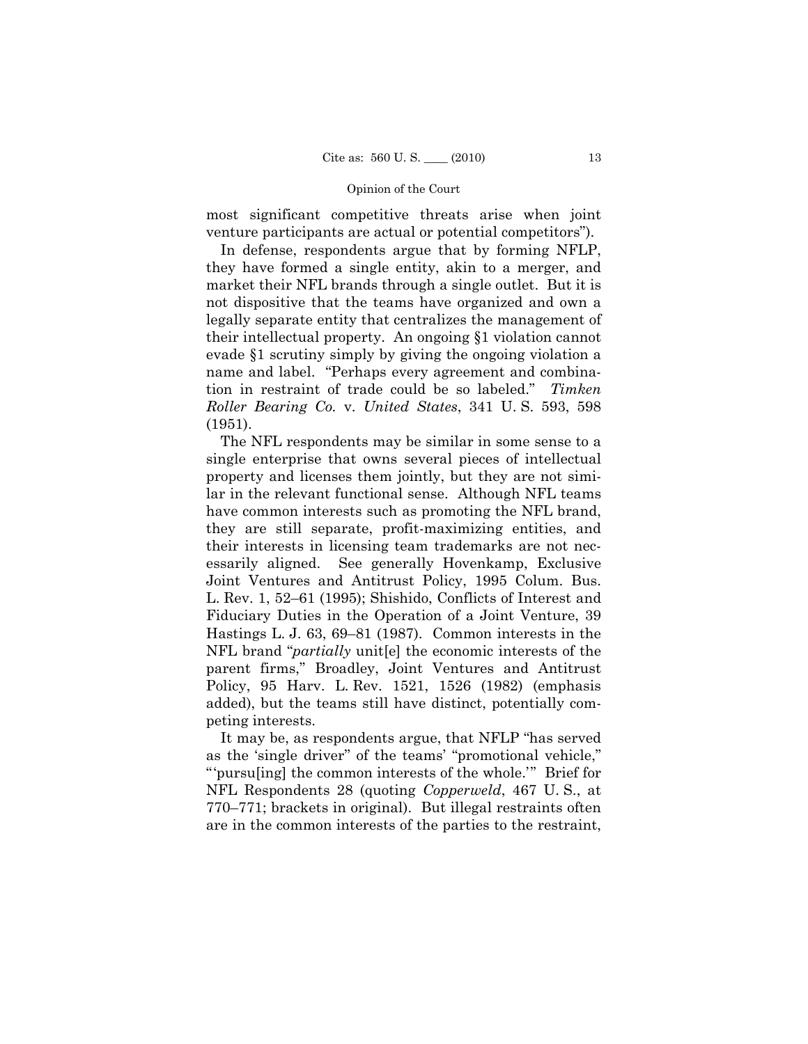most significant competitive threats arise when joint venture participants are actual or potential competitors").

In defense, respondents argue that by forming NFLP, they have formed a single entity, akin to a merger, and market their NFL brands through a single outlet. But it is not dispositive that the teams have organized and own a legally separate entity that centralizes the management of their intellectual property. An ongoing §1 violation cannot evade §1 scrutiny simply by giving the ongoing violation a name and label. "Perhaps every agreement and combination in restraint of trade could be so labeled." *Timken Roller Bearing Co.* v. *United States*, 341 U. S. 593, 598 (1951).

The NFL respondents may be similar in some sense to a single enterprise that owns several pieces of intellectual property and licenses them jointly, but they are not similar in the relevant functional sense. Although NFL teams have common interests such as promoting the NFL brand, they are still separate, profit-maximizing entities, and their interests in licensing team trademarks are not necessarily aligned. See generally Hovenkamp, Exclusive Joint Ventures and Antitrust Policy, 1995 Colum. Bus. L. Rev. 1, 52–61 (1995); Shishido, Conflicts of Interest and Fiduciary Duties in the Operation of a Joint Venture, 39 Hastings L. J. 63, 69–81 (1987). Common interests in the NFL brand "*partially* unit[e] the economic interests of the parent firms," Broadley, Joint Ventures and Antitrust Policy, 95 Harv. L. Rev. 1521, 1526 (1982) (emphasis added), but the teams still have distinct, potentially competing interests.

It may be, as respondents argue, that NFLP "has served as the 'single driver'' of the teams' "promotional vehicle," "'pursu[ing] the common interests of the whole.'" Brief for NFL Respondents 28 (quoting *Copperweld*, 467 U. S., at 770–771; brackets in original). But illegal restraints often are in the common interests of the parties to the restraint,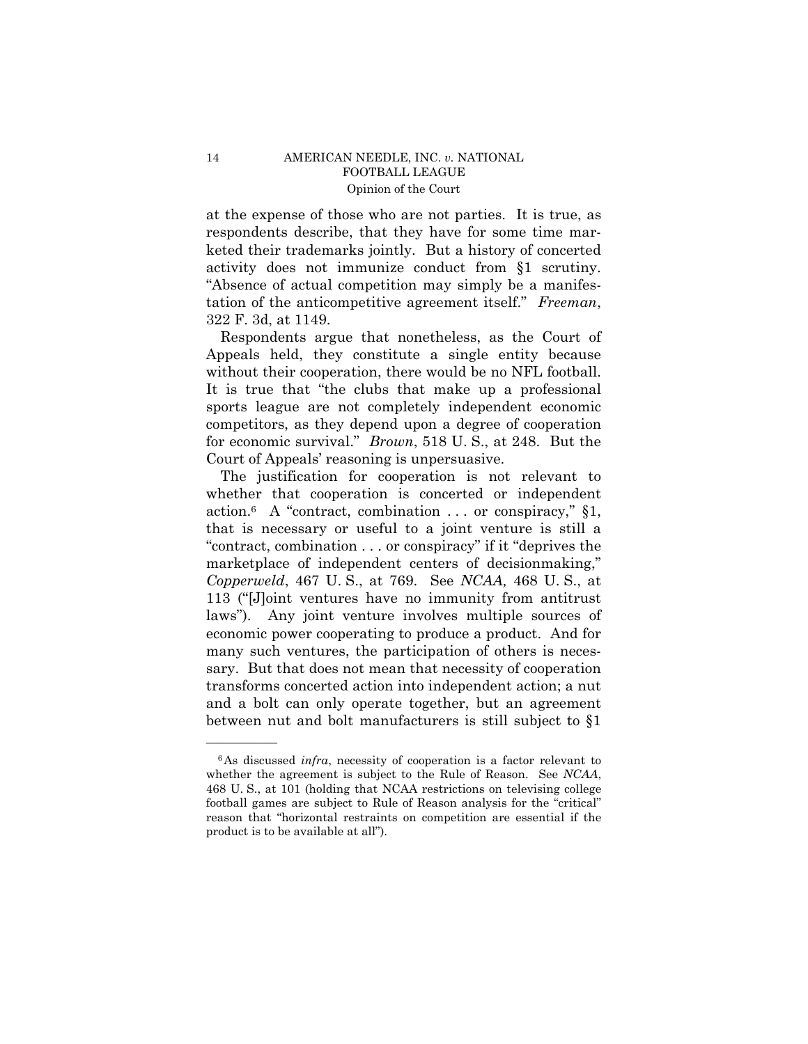at the expense of those who are not parties. It is true, as respondents describe, that they have for some time marketed their trademarks jointly. But a history of concerted activity does not immunize conduct from §1 scrutiny. "Absence of actual competition may simply be a manifestation of the anticompetitive agreement itself." *Freeman*, 322 F. 3d, at 1149.

Respondents argue that nonetheless, as the Court of Appeals held, they constitute a single entity because without their cooperation, there would be no NFL football. It is true that "the clubs that make up a professional sports league are not completely independent economic competitors, as they depend upon a degree of cooperation for economic survival." *Brown*, 518 U. S., at 248. But the Court of Appeals' reasoning is unpersuasive.

The justification for cooperation is not relevant to whether that cooperation is concerted or independent action.<sup>6</sup> A "contract, combination . . . or conspiracy,"  $\S1$ , that is necessary or useful to a joint venture is still a "contract, combination . . . or conspiracy" if it "deprives the marketplace of independent centers of decisionmaking," *Copperweld*, 467 U. S., at 769. See *NCAA,* 468 U. S., at 113 ("[J]oint ventures have no immunity from antitrust laws"). Any joint venture involves multiple sources of economic power cooperating to produce a product. And for many such ventures, the participation of others is necessary. But that does not mean that necessity of cooperation transforms concerted action into independent action; a nut and a bolt can only operate together, but an agreement between nut and bolt manufacturers is still subject to §1

<sup>6</sup>As discussed *infra*, necessity of cooperation is a factor relevant to whether the agreement is subject to the Rule of Reason. See *NCAA*, 468 U. S., at 101 (holding that NCAA restrictions on televising college football games are subject to Rule of Reason analysis for the "critical" reason that "horizontal restraints on competition are essential if the product is to be available at all").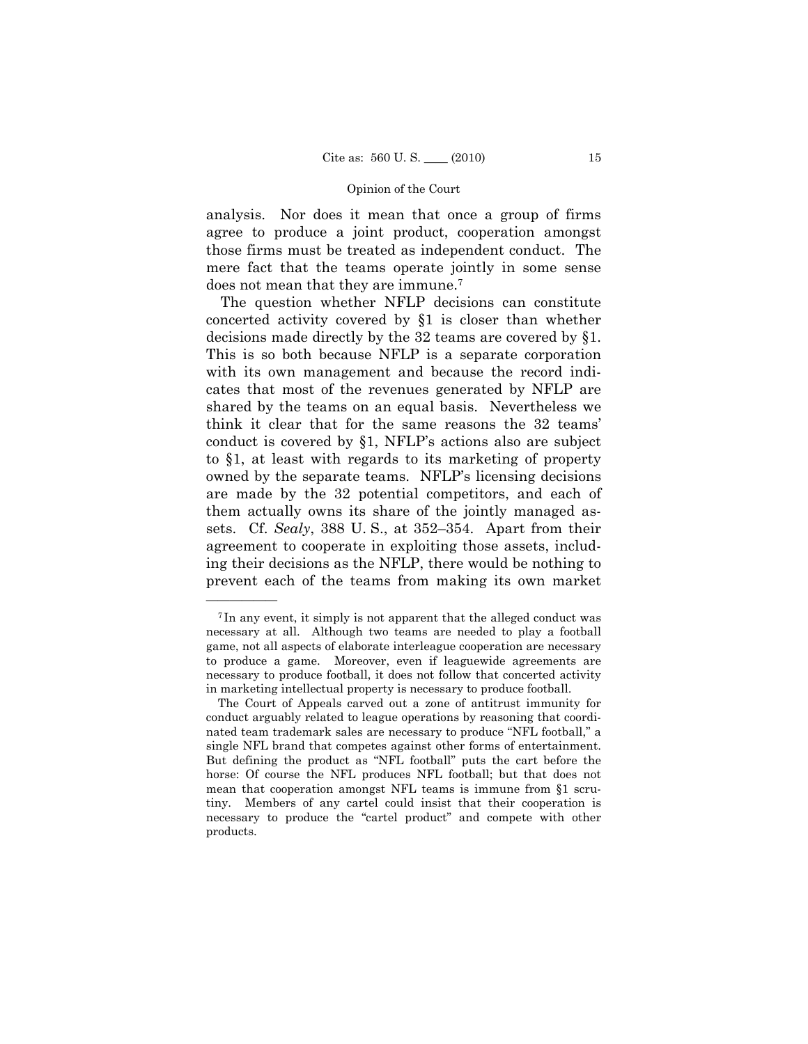analysis. Nor does it mean that once a group of firms agree to produce a joint product, cooperation amongst those firms must be treated as independent conduct. The mere fact that the teams operate jointly in some sense does not mean that they are immune.7

The question whether NFLP decisions can constitute concerted activity covered by §1 is closer than whether decisions made directly by the 32 teams are covered by §1. This is so both because NFLP is a separate corporation with its own management and because the record indicates that most of the revenues generated by NFLP are shared by the teams on an equal basis. Nevertheless we think it clear that for the same reasons the 32 teams' conduct is covered by §1, NFLP's actions also are subject to §1, at least with regards to its marketing of property owned by the separate teams. NFLP's licensing decisions are made by the 32 potential competitors, and each of them actually owns its share of the jointly managed assets. Cf. *Sealy*, 388 U. S., at 352–354. Apart from their agreement to cooperate in exploiting those assets, including their decisions as the NFLP, there would be nothing to prevent each of the teams from making its own market

<sup>7</sup> In any event, it simply is not apparent that the alleged conduct was necessary at all. Although two teams are needed to play a football game, not all aspects of elaborate interleague cooperation are necessary to produce a game. Moreover, even if leaguewide agreements are necessary to produce football, it does not follow that concerted activity in marketing intellectual property is necessary to produce football.

The Court of Appeals carved out a zone of antitrust immunity for conduct arguably related to league operations by reasoning that coordinated team trademark sales are necessary to produce "NFL football," a single NFL brand that competes against other forms of entertainment. But defining the product as "NFL football" puts the cart before the horse: Of course the NFL produces NFL football; but that does not mean that cooperation amongst NFL teams is immune from §1 scrutiny. Members of any cartel could insist that their cooperation is necessary to produce the "cartel product" and compete with other products.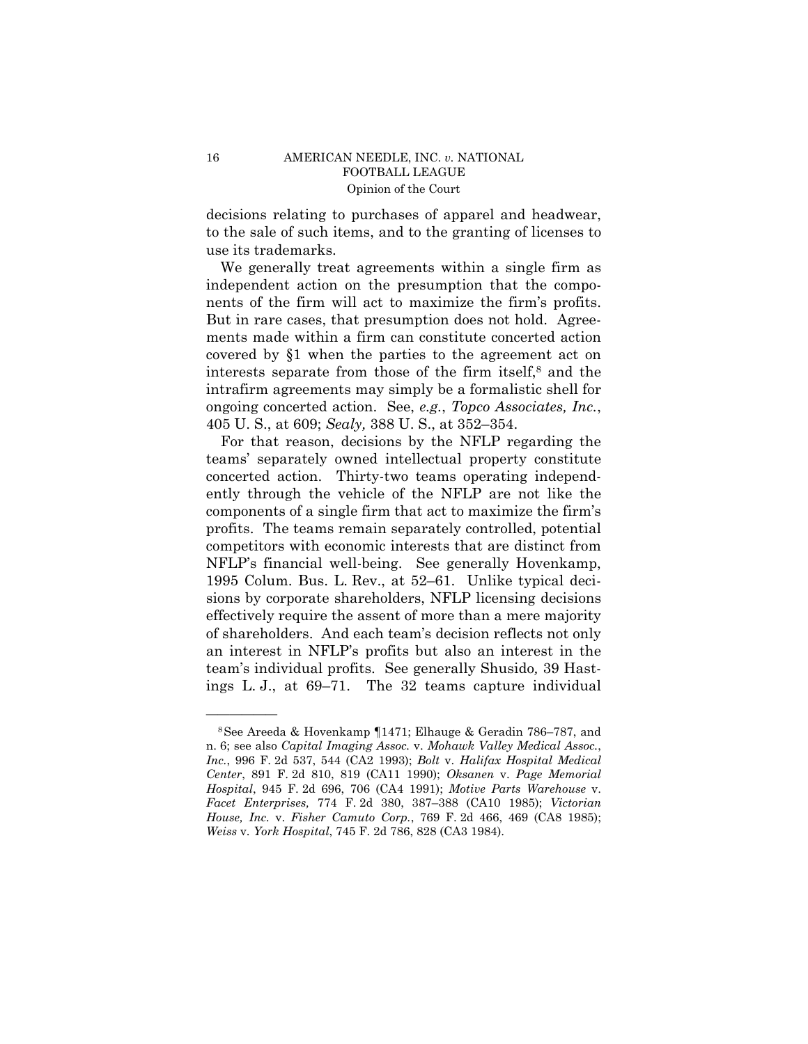decisions relating to purchases of apparel and headwear, to the sale of such items, and to the granting of licenses to use its trademarks.

We generally treat agreements within a single firm as independent action on the presumption that the components of the firm will act to maximize the firm's profits. But in rare cases, that presumption does not hold. Agreements made within a firm can constitute concerted action covered by §1 when the parties to the agreement act on interests separate from those of the firm itself, $\delta$  and the intrafirm agreements may simply be a formalistic shell for ongoing concerted action. See, *e.g.*, *Topco Associates, Inc.*, 405 U. S., at 609; *Sealy,* 388 U. S., at 352–354.

For that reason, decisions by the NFLP regarding the teams' separately owned intellectual property constitute concerted action. Thirty-two teams operating independently through the vehicle of the NFLP are not like the components of a single firm that act to maximize the firm's profits. The teams remain separately controlled, potential competitors with economic interests that are distinct from NFLP's financial well-being. See generally Hovenkamp, 1995 Colum. Bus. L. Rev., at 52–61. Unlike typical decisions by corporate shareholders, NFLP licensing decisions effectively require the assent of more than a mere majority of shareholders. And each team's decision reflects not only an interest in NFLP's profits but also an interest in the team's individual profits. See generally Shusido*,* 39 Hastings L. J., at 69–71. The 32 teams capture individual

<sup>8</sup>See Areeda & Hovenkamp ¶1471; Elhauge & Geradin 786–787, and n. 6; see also *Capital Imaging Assoc.* v. *Mohawk Valley Medical Assoc.*, *Inc.*, 996 F. 2d 537, 544 (CA2 1993); *Bolt* v. *Halifax Hospital Medical Center*, 891 F. 2d 810, 819 (CA11 1990); *Oksanen* v. *Page Memorial Hospital*, 945 F. 2d 696, 706 (CA4 1991); *Motive Parts Warehouse* v. *Facet Enterprises,* 774 F. 2d 380, 387–388 (CA10 1985); *Victorian House, Inc.* v. *Fisher Camuto Corp.*, 769 F. 2d 466, 469 (CA8 1985); *Weiss* v. *York Hospital*, 745 F. 2d 786, 828 (CA3 1984).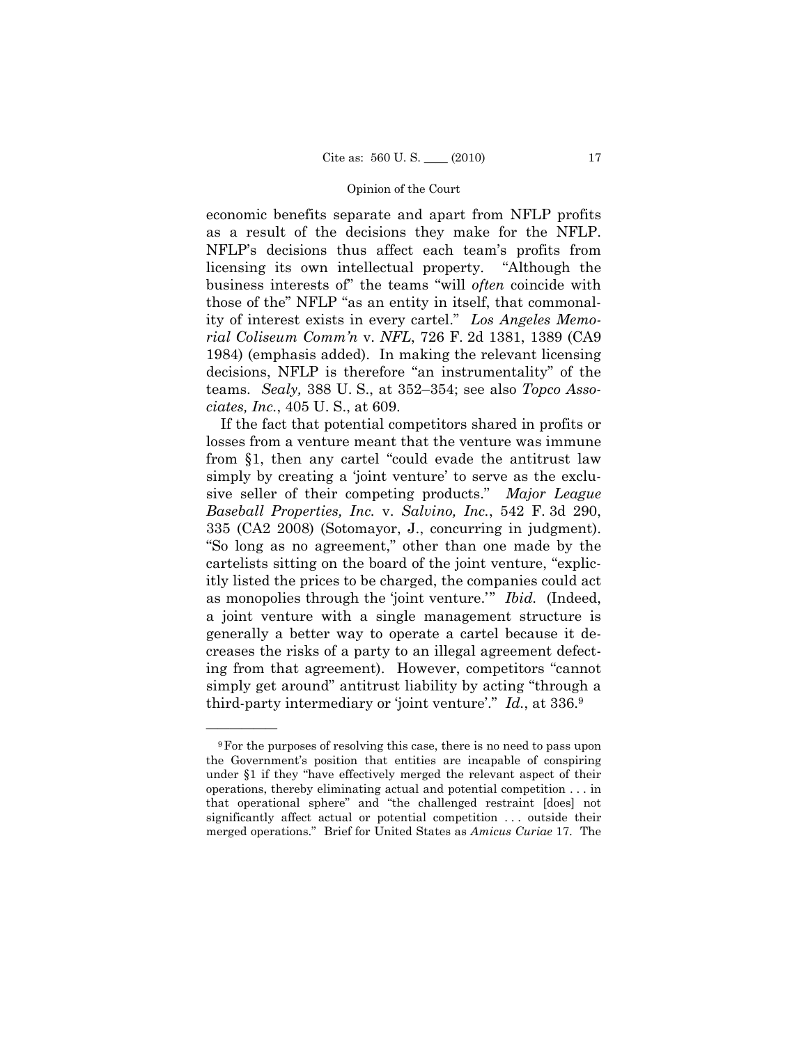economic benefits separate and apart from NFLP profits as a result of the decisions they make for the NFLP. NFLP's decisions thus affect each team's profits from licensing its own intellectual property. "Although the business interests of" the teams "will *often* coincide with those of the" NFLP "as an entity in itself, that commonality of interest exists in every cartel." *Los Angeles Memorial Coliseum Comm'n* v. *NFL*, 726 F. 2d 1381, 1389 (CA9 1984) (emphasis added). In making the relevant licensing decisions, NFLP is therefore "an instrumentality" of the teams. *Sealy,* 388 U. S., at 352–354; see also *Topco Associates, Inc.*, 405 U. S., at 609.

If the fact that potential competitors shared in profits or losses from a venture meant that the venture was immune from §1, then any cartel "could evade the antitrust law simply by creating a 'joint venture' to serve as the exclusive seller of their competing products." *Major League Baseball Properties, Inc.* v. *Salvino, Inc.*, 542 F. 3d 290, 335 (CA2 2008) (Sotomayor, J., concurring in judgment). "So long as no agreement," other than one made by the cartelists sitting on the board of the joint venture, "explicitly listed the prices to be charged, the companies could act as monopolies through the 'joint venture.'" *Ibid.* (Indeed, a joint venture with a single management structure is generally a better way to operate a cartel because it decreases the risks of a party to an illegal agreement defecting from that agreement). However, competitors "cannot simply get around" antitrust liability by acting "through a third-party intermediary or 'joint venture'." *Id.*, at 336.9

<sup>9</sup>For the purposes of resolving this case, there is no need to pass upon the Government's position that entities are incapable of conspiring under §1 if they "have effectively merged the relevant aspect of their operations, thereby eliminating actual and potential competition . . . in that operational sphere" and "the challenged restraint [does] not significantly affect actual or potential competition ... outside their merged operations." Brief for United States as *Amicus Curiae* 17. The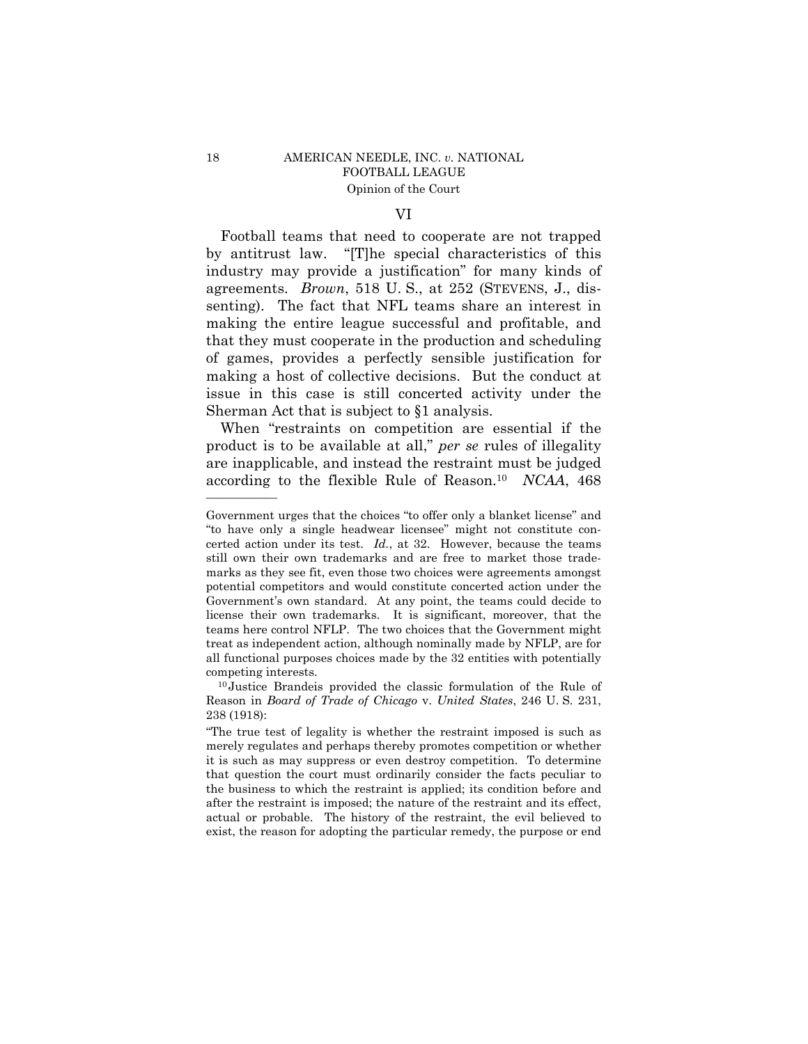## VI

Football teams that need to cooperate are not trapped by antitrust law. "[T]he special characteristics of this industry may provide a justification" for many kinds of agreements. *Brown*, 518 U. S., at 252 (STEVENS, J., dissenting). The fact that NFL teams share an interest in making the entire league successful and profitable, and that they must cooperate in the production and scheduling of games, provides a perfectly sensible justification for making a host of collective decisions. But the conduct at issue in this case is still concerted activity under the Sherman Act that is subject to §1 analysis.

When "restraints on competition are essential if the product is to be available at all," *per se* rules of illegality are inapplicable, and instead the restraint must be judged according to the flexible Rule of Reason.10 *NCAA*, 468

Government urges that the choices "to offer only a blanket license" and "to have only a single headwear licensee" might not constitute concerted action under its test. *Id.*, at 32. However, because the teams still own their own trademarks and are free to market those trademarks as they see fit, even those two choices were agreements amongst potential competitors and would constitute concerted action under the Government's own standard. At any point, the teams could decide to license their own trademarks. It is significant, moreover, that the teams here control NFLP. The two choices that the Government might treat as independent action, although nominally made by NFLP, are for all functional purposes choices made by the 32 entities with potentially competing interests.

<sup>10</sup> Justice Brandeis provided the classic formulation of the Rule of Reason in *Board of Trade of Chicago* v. *United States*, 246 U. S. 231, 238 (1918):

<sup>&</sup>quot;The true test of legality is whether the restraint imposed is such as merely regulates and perhaps thereby promotes competition or whether it is such as may suppress or even destroy competition. To determine that question the court must ordinarily consider the facts peculiar to the business to which the restraint is applied; its condition before and after the restraint is imposed; the nature of the restraint and its effect, actual or probable. The history of the restraint, the evil believed to exist, the reason for adopting the particular remedy, the purpose or end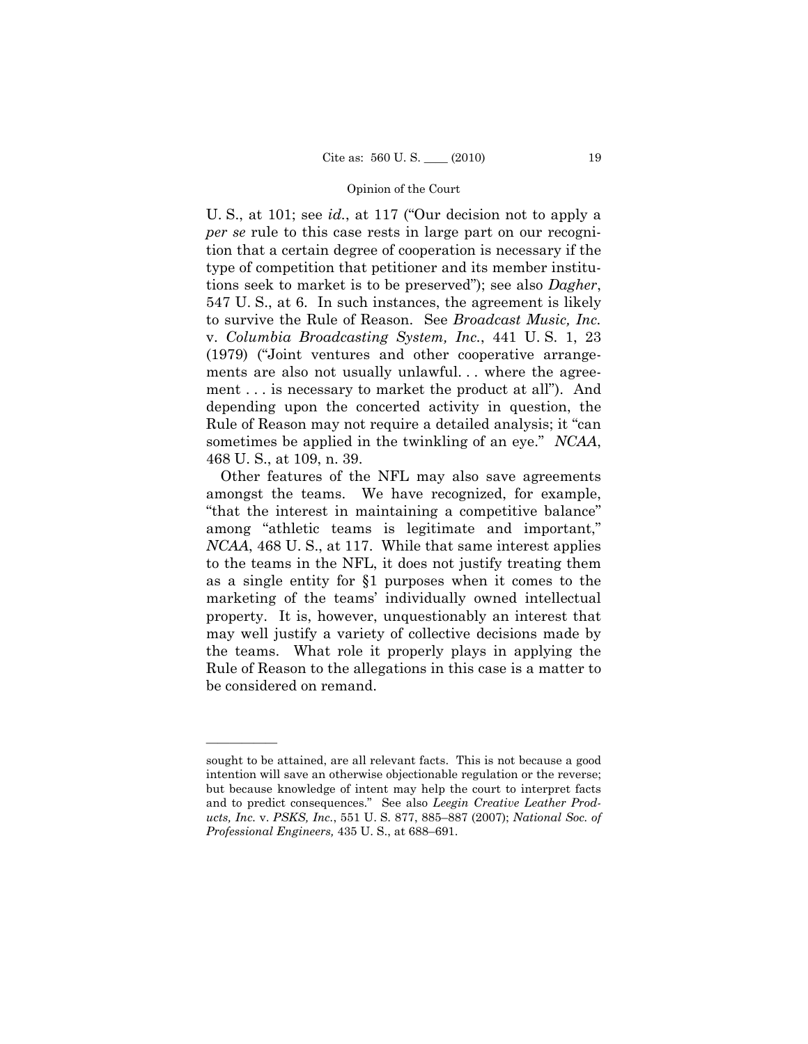U. S., at 101; see *id.*, at 117 ("Our decision not to apply a *per se* rule to this case rests in large part on our recognition that a certain degree of cooperation is necessary if the type of competition that petitioner and its member institutions seek to market is to be preserved"); see also *Dagher*, 547 U. S., at 6. In such instances, the agreement is likely to survive the Rule of Reason. See *Broadcast Music, Inc.*  v. *Columbia Broadcasting System, Inc.*, 441 U. S. 1, 23 (1979) ("Joint ventures and other cooperative arrangements are also not usually unlawful... where the agreement . . . is necessary to market the product at all"). And depending upon the concerted activity in question, the Rule of Reason may not require a detailed analysis; it "can sometimes be applied in the twinkling of an eye." *NCAA*, 468 U. S., at 109, n. 39.

Other features of the NFL may also save agreements amongst the teams. We have recognized, for example, "that the interest in maintaining a competitive balance" among "athletic teams is legitimate and important," *NCAA*, 468 U. S., at 117. While that same interest applies to the teams in the NFL, it does not justify treating them as a single entity for §1 purposes when it comes to the marketing of the teams' individually owned intellectual property. It is, however, unquestionably an interest that may well justify a variety of collective decisions made by the teams. What role it properly plays in applying the Rule of Reason to the allegations in this case is a matter to be considered on remand.

sought to be attained, are all relevant facts. This is not because a good intention will save an otherwise objectionable regulation or the reverse; but because knowledge of intent may help the court to interpret facts and to predict consequences." See also *Leegin Creative Leather Products, Inc.* v. *PSKS, Inc.*, 551 U. S. 877, 885–887 (2007); *National Soc. of Professional Engineers,* 435 U. S., at 688–691.